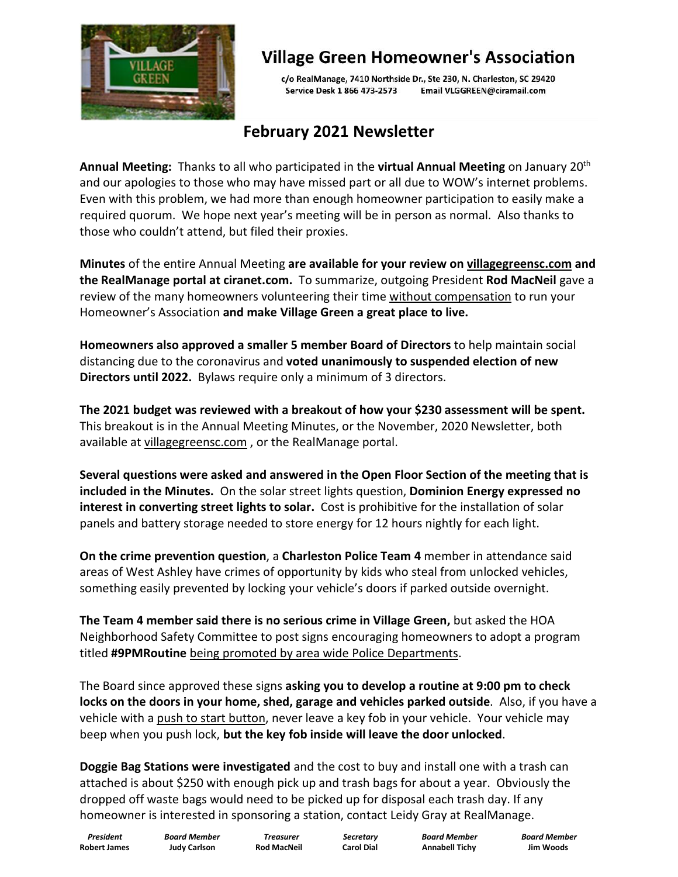

## **Village Green Homeowner's Association**

c/o RealManage, 7410 Northside Dr., Ste 230, N. Charleston, SC 29420 Service Desk 1 866 473-2573 Email VLGGREEN@ciramail.com

#### **February 2021 Newsletter**

**Annual Meeting:** Thanks to all who participated in the **virtual Annual Meeting** on January 20 the contract of the contract of the contract of the contract of the contract of the contract of the contract of the contract of the contract of the contract of the contract of the contract of the contract of the contract o and our apologies to those who may have missed part or all due to WOW's internet problems. Even with this problem, we had more than enough homeowner participation to easily make a required quorum. We hope next year's meeting will be in person as normal. Also thanks to those who couldn't attend, but filed their proxies.

**Minutes** of the entire Annual Meeting **are available for your review on villagegreensc.com and the RealManage portal at ciranet.com.** To summarize, outgoing President **Rod MacNeil** gave a review of the many homeowners volunteering their time without compensation to run your Homeowner's Association **and make Village Green a great place to live.**

**Homeowners also approved a smaller 5 member Board of Directors** to help maintain social distancing due to the coronavirus and **voted unanimously to suspended election of new Directors until 2022.** Bylaws require only a minimum of 3 directors.

**The 2021 budget was reviewed with a breakout of how your \$230 assessment will be spent.** This breakout is in the Annual Meeting Minutes, or the November, 2020 Newsletter, both available at villagegreensc.com , or the RealManage portal.

**Several questions were asked and answered in the Open Floor Section of the meeting that is included in the Minutes.** On the solar street lights question, **Dominion Energy expressed no interest in converting street lights to solar.** Cost is prohibitive for the installation of solar panels and battery storage needed to store energy for 12 hours nightly for each light.

**On the crime prevention question**, a **Charleston Police Team 4** member in attendance said areas of West Ashley have crimes of opportunity by kids who steal from unlocked vehicles, something easily prevented by locking your vehicle's doors if parked outside overnight.

**The Team 4 member said there is no serious crime in Village Green,** but asked the HOA Neighborhood Safety Committee to postsigns encouraging homeowners to adopt a program titled **#9PMRoutine** being promoted by area wide Police Departments.

The Board since approved these signs **asking you to develop a routine at 9:00 pm to check locks on the doors in your home, shed, garage and vehicles parked outside**. Also, if you have a vehicle with a push to start button, never leave a key fob in your vehicle. Your vehicle may beep when you push lock, **but the key fob inside will leave the door unlocked**.

**Doggie Bag Stations were investigated** and the cost to buy and install one with a trash can attached is about \$250 with enough pick up and trash bags for about a year. Obviously the dropped off waste bags would need to be picked up for disposal each trash day. If any homeowner is interested in sponsoring a station, contact Leidy Gray at RealManage.

**Robert James Judy Carlson Rod MacNeil Carol Dial Annabell Tichy Jim Woods**